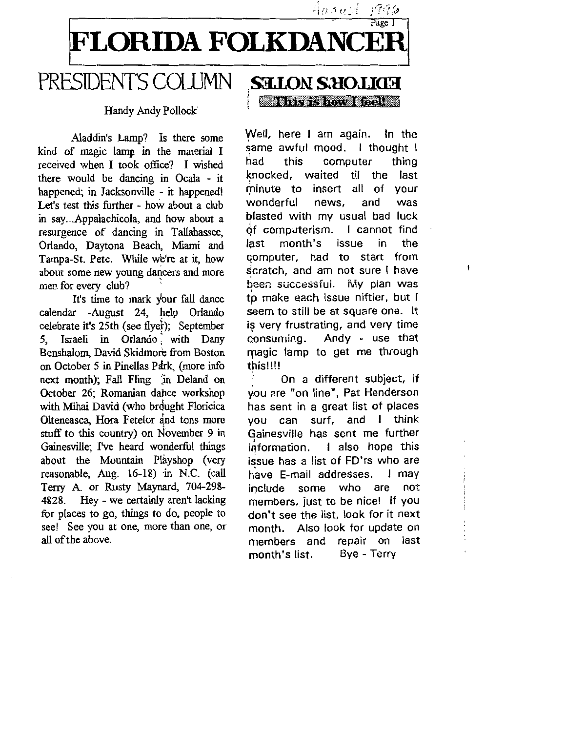

#### PRESIDENT'S COLUMN . **sa.LON: S.llOJ.J03**  l 11-1-mix 11-mix 11-mix 11-mix 11-mix 11-mix 11-mix

### Handy Andy Pollock

Aladdin's Lamp? Is there some kind of magic lamp in the material I received when I took office? I wished there would be dancing in Ocala - it happened; in Jacksonville - it happened! Let's test this further - how about a club in say... Appalachicola, and how about a resurgence of dancing in Tallahassee, Orlando, Daytona Beach, Miami and Tampa-St. Pete. While we're at it, how about some new young dancers and more men for every dub?

It's time to mark your fall dance calendar -August 24, help Orlando celebrate it's 25th (see flyer); September S, Israeli in Orlando : with Dany Benshalom, David Skidmore from Boston on October 5 in Pinellas Pdrk, (more info next month); Fall Fling in Deland on October 26; Romanian dahce workshop with Mihai David (who brought Floricica Olteneasca, Hora Fetelor and tons more stuff to this country) on November 9 in Gainesville; I've heard wonderful things about the Mountain Playshop (very reasonable, Aug. 16-18) in N.C. (call Terry A. or Rusty Maynard, 704-298- 4828. Hey - we certainly aren't lacking for places to go, things to do, people to see! See you at one, more than one, or all of the above.

Well, here I am again. In the same awful mood. I thought I had this computer thing knocked, waited til the last minute to insert all of your wonderful news, and was blasted with my usual bad luck *qt* computerism. I cannot find last month's issue in the GOmputer, had to start from scratch, and am not sure I have been successfui. My plan was tp make each issue niftier, but I seem to still be at square one. It is very frustrating, and very time<br>consuming. Andy - use that Andy - use that magic lamp to get me through this!!!!

Hanust

 $19.36$ 

l : On a different subject, if you are "on line", Pat Henderson has sent in a great list of places you can surf, and I think Gainesville has sent me further information. I also hope this issue has a list of FD'rs who are have E-mail addresses. I may include some who are not members, just to be nice! If you don't see the list, look for it next month. Also look for update on members and repair on last month's list. Bye - Terry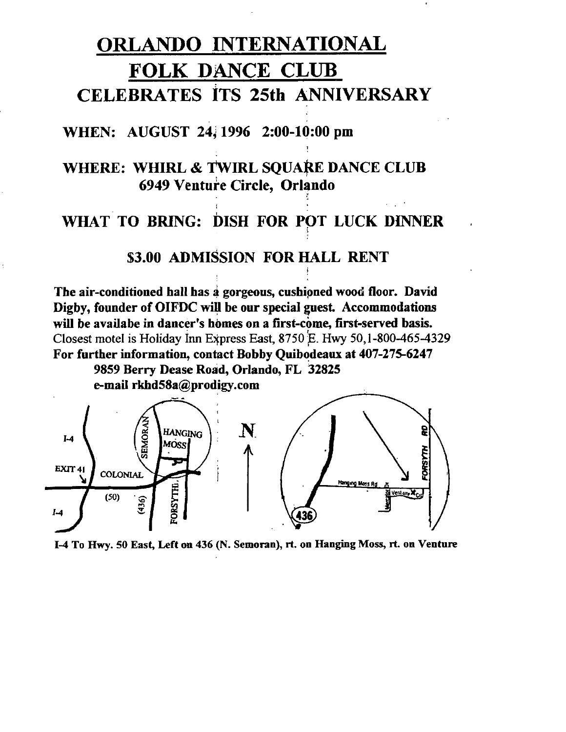# ORLANDO INTERNATIONAL FOLK DANCE CLUB CELEBRATES ITS 25th ANNIVERSARY

## WHEN: AUGUST 24, 1996 2:00-10:00 pm

## WHERE: WHIRL & TWIRL SQUARE DANCE CLUB 6949 Venture Circle, Orlando

# WHAT TO BRING: DISH FOR POT LUCK DINNER

\$3.00 ADMISSION FOR HALL RENT

The air-conditioned hall has  $a$  gorgeous, cushioned wood floor. David Digby, founder of OIFDC will be our special guest. Accommodations will be availabe in dancer's homes on a first-come, first-served basis.<br>Closest motel is Holiday Inn Express East, 8750 E. Hwy 50,1-800-465-4329 For further information, contact Bobby Quibodeaux at 407-275-6247 9859 Berry Dease Road, Orlando, FL 32825 e-mail rkhd58a@prodigy.com



1-4 To Hwy. 50 East, Left on 436 (N. Semoran), rt. on Hanging Moss, rt. on Venture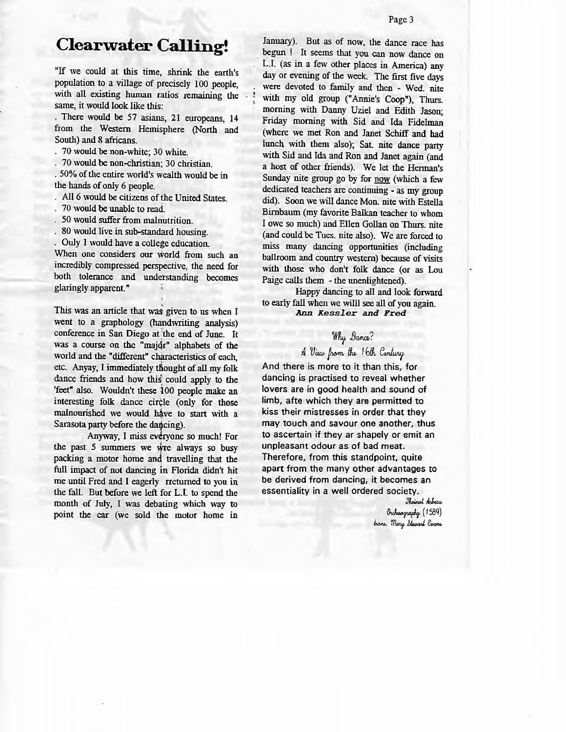# **Clearwater Calling!**

"If we could at this time, shrink the earth's population to a village of precisely 100 people, with all existing human ratios remaining the same, it would look like this:

. There would be 57 asians, 21 europeans, 14 from the Western Hemisphere (North and South) and 8 africans.

. 70 would be non-white; 30 white.

. 70 would be non-christian; 30 christian.

. 50% of the entire world's wealth would be in the hands of only 6 people.

- . All 6 would be citizens of the United States.
- 70 would be unable to read.
- 50 would suffer from malnutrition.
- 80 would live in sub-standard housing.

Only 1 would have a college education.

When one considers our world from such an incredibly compressed perspective, the need for both tolerance and understanding becomes glaringly apparent."

This was an article that was given to us when I went to a graphology (handwriting analysis) conference in San Diego at 'the end of June. It was a course on the "majdr" alphabets of the world and the "different" characteristics of each, etc. Anyay, I immediately thought of all my folk dance friends and how this could apply to the 'feet" also. Wouldn't these 100 people make an interesting folk dance circle (only for those malnourished we would have to start with a Sarasota party before the dancing).

Anyway, I miss everyone so much! For the past 5 summers we wre always so busy packing a motor home and travelling that the full impact of not dancing in Florida didn't hit me until Fred and I eagerly rreturned to you in the fall. But before we left for L.I. to spend the month of July, I was debating which way to point the car (we sold the motor home in January). But as of now, the dance race has begun ! It seems that you can now dance on L.I. (as in a few other places in America) any day or evening of the week. The first five days , were devoted to family and then - Wed. nite with my old group ("Annie's Coop"), Thurs. morning with Danny Uziel and Edith Jason; Friday morning with Sid and Ida Fidelman (where we met Ron and Janet Schiff and had lunch with them also); Sat nite dance party with Sid and Ida and Ron and Janet again (and a host of other friends). We let the Herman's Sunday nite group go by for now (which a few dedicated teachers are continuing - as my group did). Soon we will dance Mon. nite with Estella Birnbaum (my favorite Balkan teacher to whom I owe so much) and Ellen Gollan on Thurs. nite (and could be Tues. nite also). We are forced to miss many dancing opportunities (including ballroom and country western) because of visits with those who don't folk dance (or as Lou Paige calls them - the unenlightened).

Happy dancing to all and look forward to early fall when we willl see all of you again. *Ann Kessier and Fred* 

## $W$ <sup>*N*</sup> $\mu$  Dance?

*AVwfw,n,~16/Ji, C~* 

And there is more to it than this, for dancing is practised to reveal whether lovers are in good health and sound of limb, afte which they are permitted to **kiss** their mistresses in order that they may touch and savour one another, thus to ascertain if they ar shapely or emit an unpleasant odour as of bad meat. Therefore, from this standpoint, quite apart from the many other advantages to be derived from dancing, it becomes an essentiality in a well ordered society.

> *Jhoinot Arbeau* ~ (t *58q)*  **Inans.** *Mary Stewart* Evans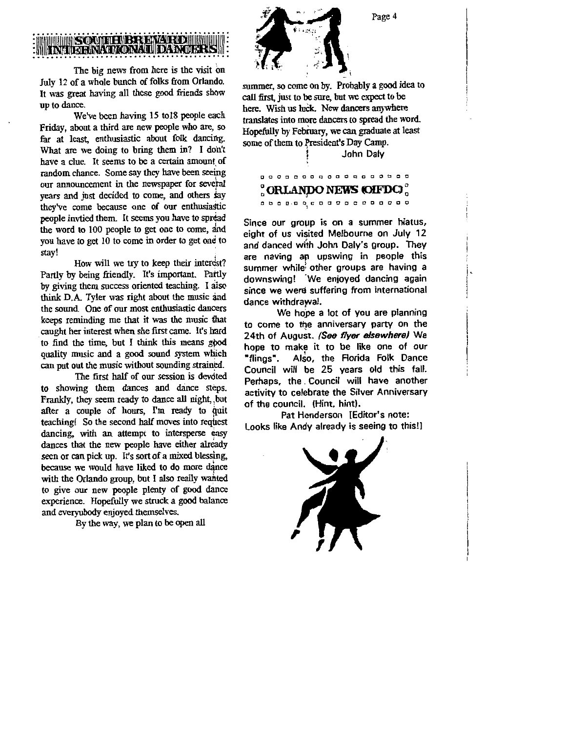# <sup>~</sup>........ s· ..... · -1i11n .111111~- . . . . . . . . . . . . . . . . . . -..................... .

The big news from here is the visit on July 12 of a whole bunch of folks from Orlando. It was great having all these good friends show up to dance.

We've been having 15 to 18 people each Friday, about a third are new people who are, so far at least, enthusiastic about folk dancing. What are we doing to bring them in? I don't have a clue. It seems to be a certain amount of random chance. Some say they have been seeing our announcement in the newspaper for several years and just decided to come, and others say they've come because one of our enthusiastic people invtied them. It seems you have to spread the word to 100 people to get one to come, and you have to get 10 to come in order to get one to stay!

How will we try to keep their interest? Partly by being friendly. It's important. Partly by giving them success oriented teaching. I aiso think D.A. Tyler was right about the music and the sound. One of our most enthusiastic dancers keeps reminding me that it was the music that caught her interest when she first came. It's hard · to find the time, but I think this means gpod quality music and a good sound system which can put out the music without sounding strained.

The first half of our session is devoted to showing them dances and dance steps. Frankly, they seem ready to dance all night, but after a couple of hours, I'm ready to quit teaching! So the second half moves into request dancing, with an attempt to intersperse easy dances that the new people have either already seen or can pick up. It's sort of a mixed blessing, because we would have liked to do more dance with the Orlando group, but I also really wanted to give our new people plenty of good dance experience. Hopefully we struck a good balance and everyubody enjoyed themselves.

By the way, we plan to be open all



summer, so come on by. Probably a good idea to call first, just to be sure, but we expect to be here. Wish us luck. New dancers anywhere translates into more dancers to spread the word Hopefully by February, we can graduate at least some of them to President's Day Camp.

John Daly

## **a o o o o o o o o o o a o a a a o a**  ~ **ORLANpo NEWS QFDC)** ~ **0 0 0 0 , D o 1 C O O O O O D O O O O 0**

Since our groµp is on a summer hiatus, eight of us visited Melbourne on July 12 and danced with John Daly's group. They are naving an upswing in people this summer whilei other groups are having a downswing! 'We enjoyed dancing again since **we were** suffering from international dance withdrawal.

We hope a lot of you are planning to come to the anniversary party on the 24th of August. **(See flyer elsewhere)** We hope to make it to be like one of our "flings". Also, the Florida Folk Dance Council will be 25 years old this fall. Perhaps, the . Council will have another activity to celebrate the Silver Anniversary of the council. (Hint, hint).

Pat Henderson [Editor's note: Looks like Andy already is seeing to this!)



Page 4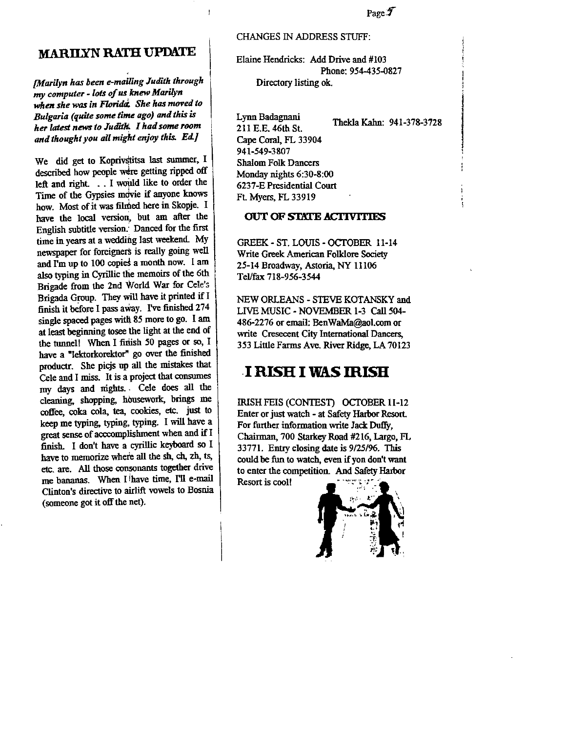## **MARIIXN RATH UPDATE**

' *[Marilyn has been e-mailing Judith through*  my *computer* - *lots of us. knew Marilyn when she was in Florida. She has moved to Bulgaria (quite some time ago) and this is her latest news to Judit/i. I had some room and thought you all might enjoy this. Ed.]* 

We did get to Koprivstitsa last summer, I described how people were getting ripped off left and right. . . I would like to order the Time of the Gypsies mdvie if anyone knows how. Most of it was filmed here in Skopje. I have the local version, but am after the English subtitle version.: Danced for the first time in years at a wedding last weekend. My newspaper for foreigners is really going well and I'm up to  $100$  copies a month now.  $1$  am also typing in Cyrillic the memoirs of the 6th Brigade from the 2nd World War for Cele's Brigada Group. They will have it printed if I finish it before I pass away. I've finished 274 single spaced pages with 85 more to go. I am at least beginning tosee the light at the end of the tunnel! When I finish 50 pages or so, I have a "lektorkorektor" go over the finished productr. She picjs up all the mistakes that Cele and I miss. It is a project that consumes my days and nights. . Cele does all the cleaning, shopping, housework, brings me coffee, coka cola. tea. cookies, etc. just to keep me typing, typing, typing. I will have a great sense of acccomplishment when and if <sup>I</sup> finish. I don't have a cyrillic keyboard so I have to memorize where all the sh, ch, zh, ts, etc. are. All those consonants together drive me bananas. When I have time, I'll e-mail Clinton's directive to airlift vowels to Bosnia (someone got it off the net).

#### CHANGES IN ADDRESS STIJFF:

Elaine Hendricks: Add Drive and #103 Phone: 954-435-0827 Directory listing ok.

Lynn Badagnani 211 E.E. 46th St. Cape Coral, FL 33904 941-549-3807 Thekla Kahn: 941-378-3728 Shalom Folk Dancers Monday nights 6:30-8:00 6237-E Presidential Court Ft. Myers, FL 33919

#### **OUT OF STATE ACl'IVlTIES**

GREEK- ST. LOUIS - OCTOBER 11-14 Write Greek American Folklore Society 25-14 Broadway, Astoria. NY 11106 Tel/fax 718-956-3544

NEW ORLEANS - STEVE KOTANSKY and LIVE MUSIC - NOVEMBER 1-3 Call 504- 486-2276 or email: BenWaMa@aol.com or write Cresecent City International Dancers, 353 Little Farms Ave. River Ridge, LA 70123

## **-I RISH I WAS ffiISH**

IRISH FEIS (CONTEST) OCTOBER 11-12 Enter or just watch - at Safety Harbor Resort. For further information write Jack Duffy, Chairman, 700 Starkey Road #216, Largo, FL 33771. Entry closing date is 9/25/96. This could be fun to watch, even if you don't want to enter the competition. And Safety Harbor Resort is cool!

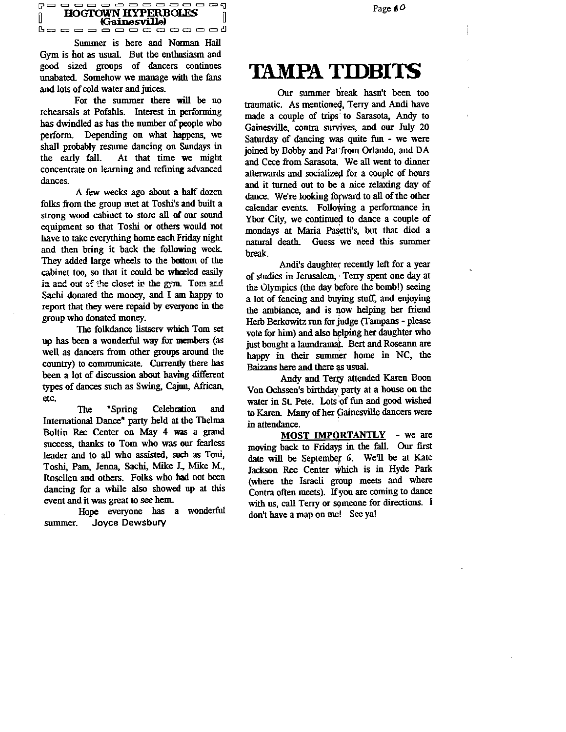

Summer is here and Norman Hall Gym is hot as usual. But the enthusiasm and good sized groups of dancers continues unabated. Somehow we manage with the fans and lots of cold water and juices.

For the summer there **will be** no rehearsals at Pofahls. Interest in performing has dwindled as has the number of people who perform. Depending on what happens, we shall probably resume dancing on Sundays in the early fall. At that time we might concentrate on learning and refining advanced dances.

A few weeks ago about a half dozen folks from the group met at Toshi's and built a strong wood cabinet to store all of our sound equipment so that Toshi or others would not have to take everything home each Friday night and then bring it back the following week. They added large wheels to the bottom of the cabinet too, so that it could be wheeled easily in and out of the closet ir the gym. Tom and Sachi donated the money, and I am happy to report that they were repaid by everyone in the group who donated money.

The folkdance listserv which Tom set up has been a wonderful way for members (as well as dancers from other groups around the country) to communicate. Currently there has been a lot of discussion about having different types of dances such as Swing, Cajun, African, etc.

The "Spring Celebration and International Dance" party held at the Thelma Boltin Rec Center on May 4 was a grand success, thanks to Tom who was our fearless leader and to all who assisted, such as Toni, Toshi, Pam, Jenna, Sachi, Mike J., Mike M., Rosellen and others. Folks who **had** not been dancing for a while also showed up at this event and it was great to see hem.

Hope everyone has a wonderful summer. Joyce Dewsbury

Page *fO* 

# **TAMPA TIDBITS**

Our summer break hasn't been too traumatic. As mentioned, Terry and Andi have made a couple of trips: to Sarasota, Andy to Gainesville, contra survives, and our July 20 Saturday of dancing was quite fun - we were joined by Bobby and Pat from Orlando, and DA and Cece from Sarasota. We all went to dinner afterwards and socialized for a couple of hours and it turned out to be a nice relaxing day of dance. We're looking forward to all of the other calendar events. Following a performance in Ybor City, we continued to dance a couple of mondays at Maria Pasetti's, but that died a natural death. Guess we need this summer break.

Andi's daughter recently left for a year of studies in Jerusalem, Terry spent one day at the Olympics (the day before the bomb!) seeing a lot of fencing and buying stuff, and enjoying the ambiance, and is now helping her friend Herb Berkowitz run for judge (Tampans - please vote for him) and also helping her daughter who just bought a laundramat. Bert and Roseann are happy in their summer home in NC, the Baizans here and there as usual.

Andy and Terry attended Karen Boon Von Ochssen's birthday party at a house on the water in St. Pete. Lots of fun and good wished to Karen. Many of her Gainesville dancers were in attendance.

**MOST IMPORTANTLY** - we are moving back to Fridays in the fall. Our first date will be September 6. We'll be at Kate Jackson Rec Center which is in Hyde Park (where the Israeli group meets and where Contra often meets). If you are coming to dance with us, call Terry or someone for directions. I don't have a map on me! See ya!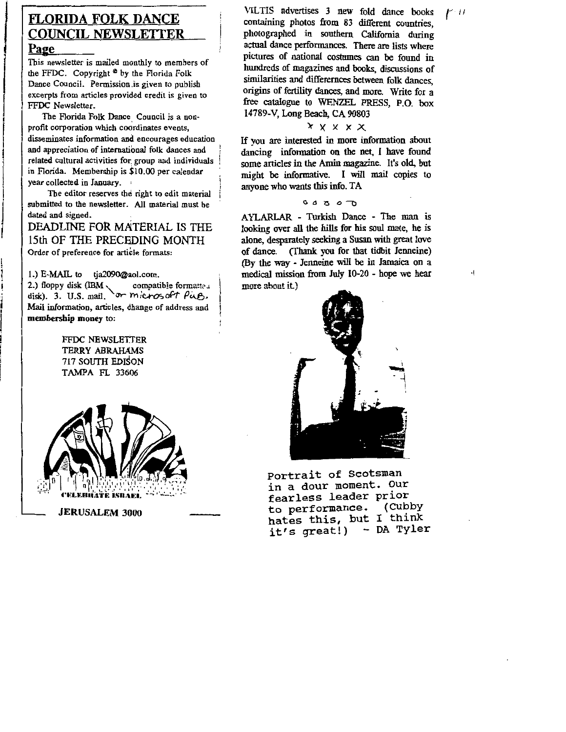# $\left| \begin{array}{c} \boxed{E} \\ \boxed{C} \\ \boxed{P} \end{array} \right|$ **FLORIDA FOLK** DANCE COUNCIL **NEWSLETIER**

#### **Page**

.<br>!

This newsletter is mailed monthly to members of the FFDC. Copyright  $<sup>°</sup>$  by the Florida Folk</sup> Dance Council. Permission.is given to publish excerpts from articles provided credit is given to FFOC Newsletter.

The Florida Folk Dance Council is a nonprofit corporation which coordinates events, disseminates information and encourages education and appreciation of international folk dances and related cultural activities for. group and individuals in Florida. Membership is \$10.00 per calendar year collected in January.

The editor reserves the right to edit material submitted to the newsletter. All material must be dated and signed.

DEADLINE FOR MATERIAL IS THE 15th OF THE PRECEDING MONTH Order of preference for article formats:

1.) E-MAIL to tja2090@aol.com.

2.) floppy disk (IBM \compatible formatteu disk). 3. U.S. mail. or microsoft Pug, Mail information, articles, dhange of address and **membership money** to:

> FFDC NEWSLETTER TERRY ABRAHAMS 717 SOUTH EDISON TAMPA FL 33606



VILTIS advertises 3 new fold dance books containing photos from 83 different countries, photographed in southern California during actual dance perfonnances. There are lists where pictures of national costumes can be found in hundreds of magazines and books, discussions of similarities and differemces between folk dances, origins of fertility dances, and more. Write for a free catalogue to WENZEL PRESS, P.O. box 14789-V, Long Beach, CA 90803

#### $X$   $X$   $X$   $X$

If you are interested in more information about dancing information on the net. I have found some articles in the Amin magazine. It's old, but might be informative. I will mail copies to anyone who wants this info. TA

#### $00000$

A YLARLAR - Turkish Dance - The man is looking over all the hills for his soul mate, he is alone, desparately seeking a Susan with great love of dance. (Thank you for that tidbit Jenneine) (By the way - Jenneine will be in Jamaica on a medical mission from July 10-20 - hope we hear more about it)



Portrait of Scotsman in a dour moment. our fearless leader prior<br>to performance. (Cubby to performance. hates this, but I think it's great!) - DA Tyler  $f<sub>11</sub>$